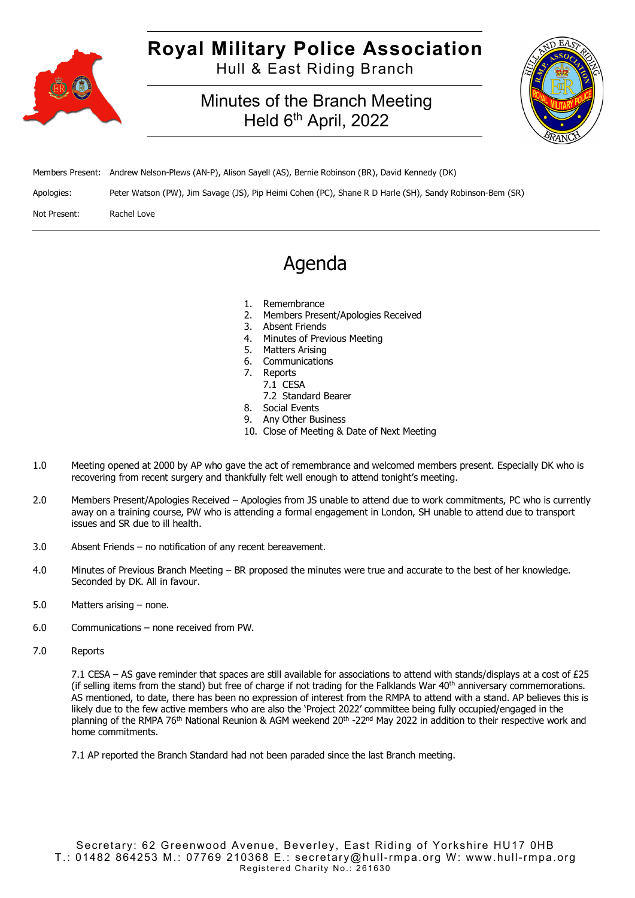

## **Royal Military Police Association**

Hull & East Riding Branch

### Minutes of the Branch Meeting Held 6<sup>th</sup> April, 2022



|              | Members Present: Andrew Nelson-Plews (AN-P), Alison Sayell (AS), Bernie Robinson (BR), David Kennedy (DK) |
|--------------|-----------------------------------------------------------------------------------------------------------|
| Apologies:   | Peter Watson (PW), Jim Savage (JS), Pip Heimi Cohen (PC), Shane R D Harle (SH), Sandy Robinson-Bem (SR)   |
| Not Present: | Rachel Love                                                                                               |

## Agenda

- 1. Remembrance
- 2. Members Present/Apologies Received
- 3. Absent Friends
- 4. Minutes of Previous Meeting
- 5. Matters Arising
- 6. Communications
- 7. Reports
- 7.1 CESA
- 7.2 Standard Bearer 8. Social Events
- 
- 9. Any Other Business
- 10. Close of Meeting & Date of Next Meeting
- 1.0 Meeting opened at 2000 by AP who gave the act of remembrance and welcomed members present. Especially DK who is recovering from recent surgery and thankfully felt well enough to attend tonight's meeting.
- 2.0 Members Present/Apologies Received Apologies from JS unable to attend due to work commitments, PC who is currently away on a training course, PW who is attending a formal engagement in London, SH unable to attend due to transport issues and SR due to ill health.
- 3.0 Absent Friends no notification of any recent bereavement.
- 4.0 Minutes of Previous Branch Meeting BR proposed the minutes were true and accurate to the best of her knowledge. Seconded by DK. All in favour.
- 5.0 Matters arising none.
- 6.0 Communications none received from PW.
- 7.0 Reports

7.1 CESA – AS gave reminder that spaces are still available for associations to attend with stands/displays at a cost of £25 (if selling items from the stand) but free of charge if not trading for the Falklands War  $40<sup>th</sup>$  anniversary commemorations. AS mentioned, to date, there has been no expression of interest from the RMPA to attend with a stand. AP believes this is likely due to the few active members who are also the 'Project 2022' committee being fully occupied/engaged in the planning of the RMPA 76<sup>th</sup> National Reunion & AGM weekend 20<sup>th</sup> -22<sup>nd</sup> May 2022 in addition to their respective work and home commitments.

7.1 AP reported the Branch Standard had not been paraded since the last Branch meeting.